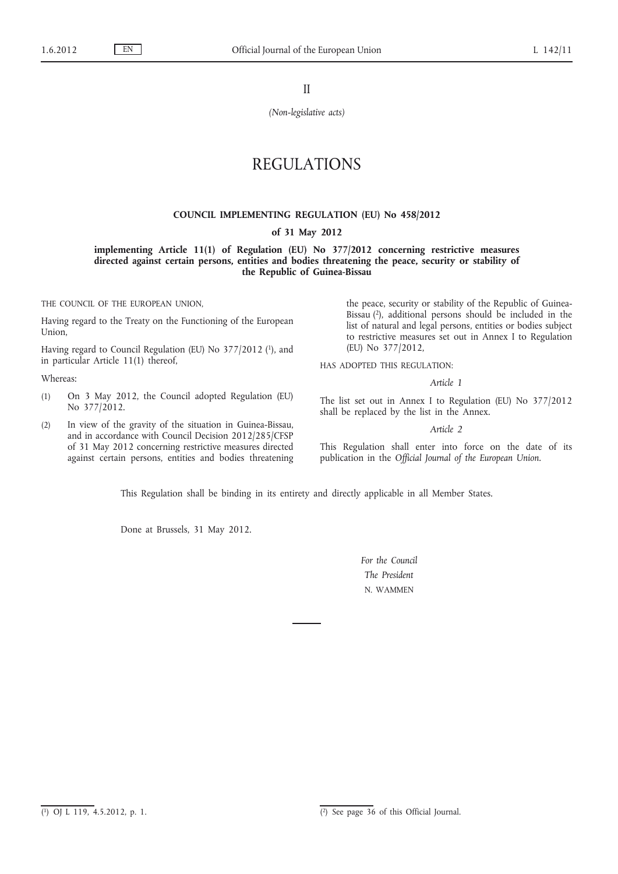II

*(Non-legislative acts)*

## REGULATIONS

## **COUNCIL IMPLEMENTING REGULATION (EU) No 458/2012**

**of 31 May 2012**

**implementing Article 11(1) of Regulation (EU) No 377/2012 concerning restrictive measures directed against certain persons, entities and bodies threatening the peace, security or stability of the Republic of Guinea-Bissau**

THE COUNCIL OF THE EUROPEAN UNION,

Having regard to the Treaty on the Functioning of the European Union,

Having regard to Council Regulation (EU) No 377/2012 (1), and in particular Article 11(1) thereof,

Whereas:

- (1) On 3 May 2012, the Council adopted Regulation (EU) No 377/2012.
- (2) In view of the gravity of the situation in Guinea-Bissau, and in accordance with Council Decision 2012/285/CFSP of 31 May 2012 concerning restrictive measures directed against certain persons, entities and bodies threatening

the peace, security or stability of the Republic of Guinea-Bissau (2), additional persons should be included in the list of natural and legal persons, entities or bodies subject to restrictive measures set out in Annex I to Regulation (EU) No 377/2012,

HAS ADOPTED THIS REGULATION:

*Article 1*

The list set out in Annex I to Regulation (EU) No 377/2012 shall be replaced by the list in the Annex.

*Article 2*

This Regulation shall enter into force on the date of its publication in the *Official Journal of the European Union.*

This Regulation shall be binding in its entirety and directly applicable in all Member States.

Done at Brussels, 31 May 2012.

*For the Council The President* N. WAMMEN

 $\overline{(^1)}$  OJ L 119, 4.5.2012, p. 1.

 $\overline{(^2)}$  See page 36 of this Official Journal.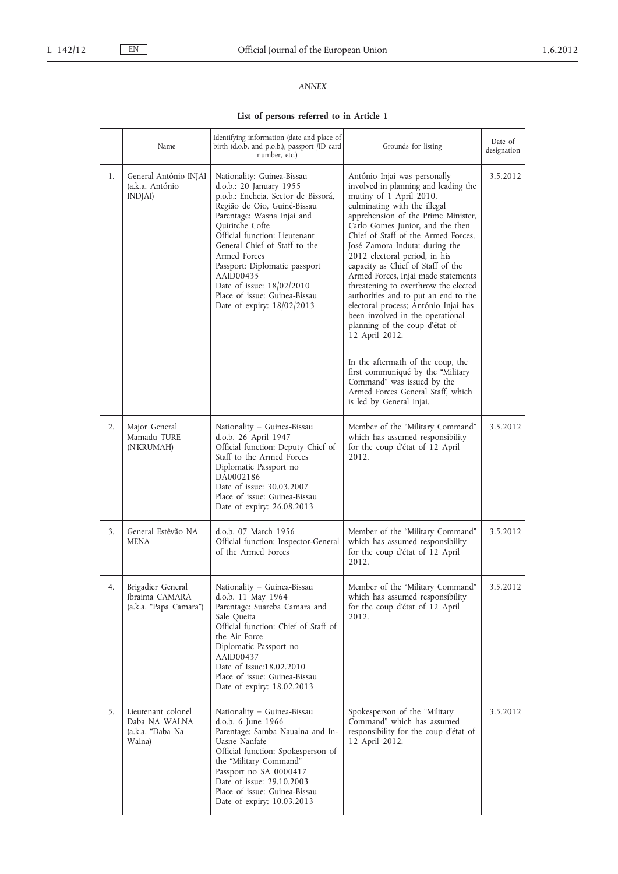## *ANNEX*

## **List of persons referred to in Article 1**

|    | Name                                                              | Identifying information (date and place of<br>birth (d.o.b. and p.o.b.), passport /ID card<br>number, etc.)                                                                                                                                                                                                                                                                                              | Grounds for listing                                                                                                                                                                                                                                                                                                                                                                                                                                                                                                                                                                                                                                                                                                                                                                       | Date of<br>designation |
|----|-------------------------------------------------------------------|----------------------------------------------------------------------------------------------------------------------------------------------------------------------------------------------------------------------------------------------------------------------------------------------------------------------------------------------------------------------------------------------------------|-------------------------------------------------------------------------------------------------------------------------------------------------------------------------------------------------------------------------------------------------------------------------------------------------------------------------------------------------------------------------------------------------------------------------------------------------------------------------------------------------------------------------------------------------------------------------------------------------------------------------------------------------------------------------------------------------------------------------------------------------------------------------------------------|------------------------|
| 1. | General António INJAI<br>(a.k.a. António<br>INDJAI)               | Nationality: Guinea-Bissau<br>d.o.b.: 20 January 1955<br>p.o.b.: Encheia, Sector de Bissorá,<br>Região de Oio, Guiné-Bissau<br>Parentage: Wasna Injai and<br>Quiritche Cofte<br>Official function: Lieutenant<br>General Chief of Staff to the<br>Armed Forces<br>Passport: Diplomatic passport<br>AAID00435<br>Date of issue: 18/02/2010<br>Place of issue: Guinea-Bissau<br>Date of expiry: 18/02/2013 | António Injai was personally<br>involved in planning and leading the<br>mutiny of 1 April 2010,<br>culminating with the illegal<br>apprehension of the Prime Minister,<br>Carlo Gomes Junior, and the then<br>Chief of Staff of the Armed Forces,<br>José Zamora Induta; during the<br>2012 electoral period, in his<br>capacity as Chief of Staff of the<br>Armed Forces, Injai made statements<br>threatening to overthrow the elected<br>authorities and to put an end to the<br>electoral process; António Injai has<br>been involved in the operational<br>planning of the coup d'état of<br>12 April 2012.<br>In the aftermath of the coup, the<br>first communiqué by the "Military<br>Command" was issued by the<br>Armed Forces General Staff, which<br>is led by General Injai. | 3.5.2012               |
| 2. | Major General<br>Mamadu TURE<br>(N'KRUMAH)                        | Nationality - Guinea-Bissau<br>d.o.b. 26 April 1947<br>Official function: Deputy Chief of<br>Staff to the Armed Forces<br>Diplomatic Passport no<br>DA0002186<br>Date of issue: 30.03.2007<br>Place of issue: Guinea-Bissau<br>Date of expiry: 26.08.2013                                                                                                                                                | Member of the "Military Command"<br>which has assumed responsibility<br>for the coup d'état of 12 April<br>2012.                                                                                                                                                                                                                                                                                                                                                                                                                                                                                                                                                                                                                                                                          | 3.5.2012               |
| 3. | General Estêvão NA<br><b>MENA</b>                                 | d.o.b. 07 March 1956<br>Official function: Inspector-General<br>of the Armed Forces                                                                                                                                                                                                                                                                                                                      | Member of the "Military Command"<br>which has assumed responsibility<br>for the coup d'état of 12 April<br>2012.                                                                                                                                                                                                                                                                                                                                                                                                                                                                                                                                                                                                                                                                          | 3.5.2012               |
| 4. | Brigadier General<br>Ibraima CAMARA<br>(a.k.a. "Papa Camara")     | Nationality - Guinea-Bissau<br>d.o.b. 11 May 1964<br>Parentage: Suareba Camara and<br>Sale Queita<br>Official function: Chief of Staff of<br>the Air Force<br>Diplomatic Passport no<br>AAID00437<br>Date of Issue:18.02.2010<br>Place of issue: Guinea-Bissau<br>Date of expiry: 18.02.2013                                                                                                             | Member of the "Military Command"<br>which has assumed responsibility<br>for the coup d'état of 12 April<br>2012.                                                                                                                                                                                                                                                                                                                                                                                                                                                                                                                                                                                                                                                                          | 3.5.2012               |
| 5. | Lieutenant colonel<br>Daba NA WALNA<br>(a.k.a. "Daba Na<br>Walna) | Nationality – Guinea-Bissau<br>d.o.b. 6 June 1966<br>Parentage: Samba Naualna and In-<br>Uasne Nanfafe<br>Official function: Spokesperson of<br>the "Military Command"<br>Passport no SA 0000417<br>Date of issue: 29.10.2003<br>Place of issue: Guinea-Bissau<br>Date of expiry: 10.03.2013                                                                                                             | Spokesperson of the "Military<br>Command" which has assumed<br>responsibility for the coup d'état of<br>12 April 2012.                                                                                                                                                                                                                                                                                                                                                                                                                                                                                                                                                                                                                                                                    | 3.5.2012               |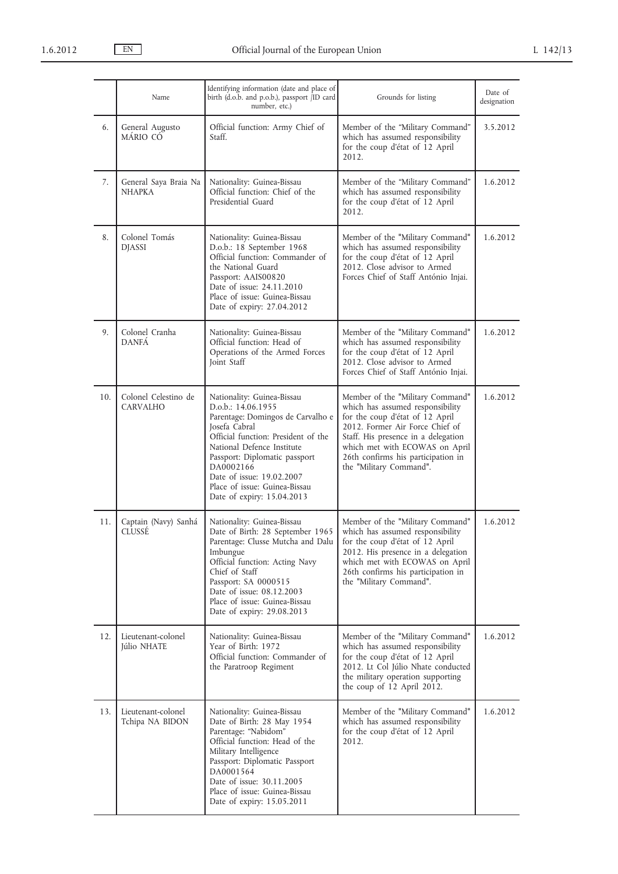|     | Name                                    | Identifying information (date and place of<br>birth (d.o.b. and p.o.b.), passport /ID card<br>number, etc.)                                                                                                                                                                                                           | Grounds for listing                                                                                                                                                                                                                                                                  | Date of<br>designation |
|-----|-----------------------------------------|-----------------------------------------------------------------------------------------------------------------------------------------------------------------------------------------------------------------------------------------------------------------------------------------------------------------------|--------------------------------------------------------------------------------------------------------------------------------------------------------------------------------------------------------------------------------------------------------------------------------------|------------------------|
| 6.  | General Augusto<br>MÁRIO CÓ             | Official function: Army Chief of<br>Staff.                                                                                                                                                                                                                                                                            | Member of the "Military Command"<br>which has assumed responsibility<br>for the coup d'état of 12 April<br>2012.                                                                                                                                                                     | 3.5.2012               |
| 7.  | General Saya Braia Na<br><b>NHAPKA</b>  | Nationality: Guinea-Bissau<br>Official function: Chief of the<br>Presidential Guard                                                                                                                                                                                                                                   | Member of the "Military Command"<br>which has assumed responsibility<br>for the coup d'état of 12 April<br>2012.                                                                                                                                                                     | 1.6.2012               |
| 8.  | Colonel Tomás<br><b>DJASSI</b>          | Nationality: Guinea-Bissau<br>D.o.b.: 18 September 1968<br>Official function: Commander of<br>the National Guard<br>Passport: AAIS00820<br>Date of issue: 24.11.2010<br>Place of issue: Guinea-Bissau<br>Date of expiry: 27.04.2012                                                                                   | Member of the "Military Command"<br>which has assumed responsibility<br>for the coup d'état of 12 April<br>2012. Close advisor to Armed<br>Forces Chief of Staff António Injai.                                                                                                      | 1.6.2012               |
| 9.  | Colonel Cranha<br><b>DANFÁ</b>          | Nationality: Guinea-Bissau<br>Official function: Head of<br>Operations of the Armed Forces<br>Joint Staff                                                                                                                                                                                                             | Member of the "Military Command"<br>which has assumed responsibility<br>for the coup d'état of 12 April<br>2012. Close advisor to Armed<br>Forces Chief of Staff António Injai.                                                                                                      | 1.6.2012               |
| 10. | Colonel Celestino de<br><b>CARVALHO</b> | Nationality: Guinea-Bissau<br>D.o.b.: 14.06.1955<br>Parentage: Domingos de Carvalho e<br>Josefa Cabral<br>Official function: President of the<br>National Defence Institute<br>Passport: Diplomatic passport<br>DA0002166<br>Date of issue: 19.02.2007<br>Place of issue: Guinea-Bissau<br>Date of expiry: 15.04.2013 | Member of the "Military Command"<br>which has assumed responsibility<br>for the coup d'état of 12 April<br>2012. Former Air Force Chief of<br>Staff. His presence in a delegation<br>which met with ECOWAS on April<br>26th confirms his participation in<br>the "Military Command". | 1.6.2012               |
| 11. | Captain (Navy) Sanhá<br><b>CLUSSE</b>   | Nationality: Guinea-Bissau<br>Date of Birth: 28 September 1965<br>Parentage: Clusse Mutcha and Dalu<br>Imbungue<br>Official function: Acting Navy<br>Chief of Staff<br>Passport: SA 0000515<br>Date of issue: 08.12.2003<br>Place of issue: Guinea-Bissau<br>Date of expiry: 29.08.2013                               | Member of the "Military Command"<br>which has assumed responsibility<br>for the coup d'état of 12 April<br>2012. His presence in a delegation<br>which met with ECOWAS on April<br>26th confirms his participation in<br>the "Military Command".                                     | 1.6.2012               |
| 12. | Lieutenant-colonel<br>Júlio NHATE       | Nationality: Guinea-Bissau<br>Year of Birth: 1972<br>Official function: Commander of<br>the Paratroop Regiment                                                                                                                                                                                                        | Member of the "Military Command"<br>which has assumed responsibility<br>for the coup d'état of 12 April<br>2012. Lt Col Júlio Nhate conducted<br>the military operation supporting<br>the coup of 12 April 2012.                                                                     | 1.6.2012               |
| 13. | Lieutenant-colonel<br>Tchipa NA BIDON   | Nationality: Guinea-Bissau<br>Date of Birth: 28 May 1954<br>Parentage: "Nabidom"<br>Official function: Head of the<br>Military Intelligence<br>Passport: Diplomatic Passport<br>DA0001564<br>Date of issue: 30.11.2005<br>Place of issue: Guinea-Bissau<br>Date of expiry: 15.05.2011                                 | Member of the "Military Command"<br>which has assumed responsibility<br>for the coup d'état of 12 April<br>2012.                                                                                                                                                                     | 1.6.2012               |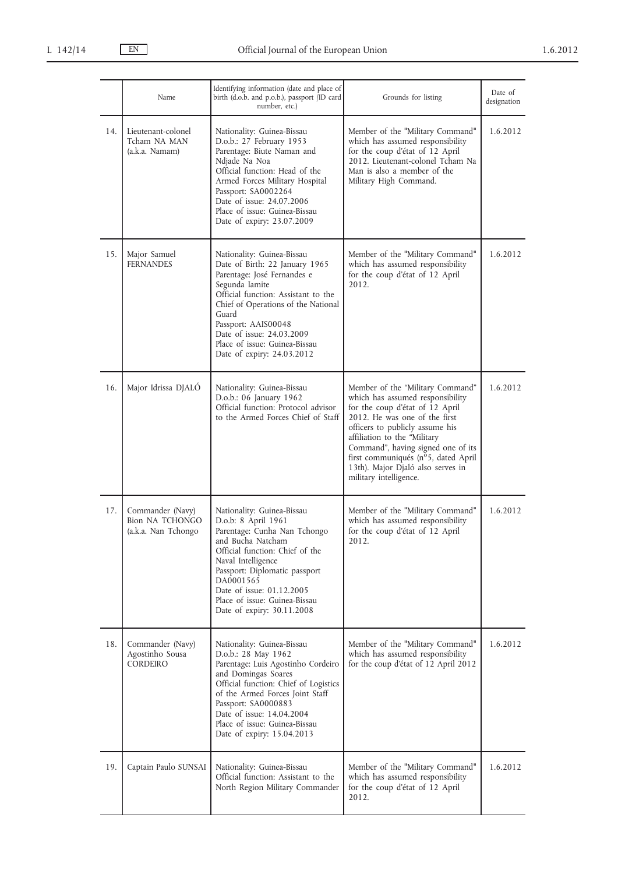|     | Name                                                              | Identifying information (date and place of<br>birth (d.o.b. and p.o.b.), passport /ID card<br>number, etc.)                                                                                                                                                                                                             | Grounds for listing                                                                                                                                                                                                                                                                                                                                     | Date of<br>designation |
|-----|-------------------------------------------------------------------|-------------------------------------------------------------------------------------------------------------------------------------------------------------------------------------------------------------------------------------------------------------------------------------------------------------------------|---------------------------------------------------------------------------------------------------------------------------------------------------------------------------------------------------------------------------------------------------------------------------------------------------------------------------------------------------------|------------------------|
| 14. | Lieutenant-colonel<br>Tcham NA MAN<br>(a.k.a. Namam)              | Nationality: Guinea-Bissau<br>D.o.b.: 27 February 1953<br>Parentage: Biute Naman and<br>Ndjade Na Noa<br>Official function: Head of the<br>Armed Forces Military Hospital<br>Passport: SA0002264<br>Date of issue: 24.07.2006<br>Place of issue: Guinea-Bissau<br>Date of expiry: 23.07.2009                            | Member of the "Military Command"<br>which has assumed responsibility<br>for the coup d'état of 12 April<br>2012. Lieutenant-colonel Tcham Na<br>Man is also a member of the<br>Military High Command.                                                                                                                                                   | 1.6.2012               |
| 15. | Major Samuel<br><b>FERNANDES</b>                                  | Nationality: Guinea-Bissau<br>Date of Birth: 22 January 1965<br>Parentage: José Fernandes e<br>Segunda Iamite<br>Official function: Assistant to the<br>Chief of Operations of the National<br>Guard<br>Passport: AAIS00048<br>Date of issue: 24.03.2009<br>Place of issue: Guinea-Bissau<br>Date of expiry: 24.03.2012 | Member of the "Military Command"<br>which has assumed responsibility<br>for the coup d'état of 12 April<br>2012.                                                                                                                                                                                                                                        | 1.6.2012               |
| 16. | Major Idrissa DJALO                                               | Nationality: Guinea-Bissau<br>D.o.b.: 06 January 1962<br>Official function: Protocol advisor<br>to the Armed Forces Chief of Staff                                                                                                                                                                                      | Member of the "Military Command"<br>which has assumed responsibility<br>for the coup d'état of 12 April<br>2012. He was one of the first<br>officers to publicly assume his<br>affiliation to the "Military<br>Command", having signed one of its<br>first communiqués (nº5, dated April<br>13th). Major Djaló also serves in<br>military intelligence. | 1.6.2012               |
| 17. | Commander (Navy)<br><b>Bion NA TCHONGO</b><br>(a.k.a. Nan Tchongo | Nationality: Guinea-Bissau<br>D.o.b: 8 April 1961<br>Parentage: Cunha Nan Tchongo<br>and Bucha Natcham<br>Official function: Chief of the<br>Naval Intelligence<br>Passport: Diplomatic passport<br>DA0001565<br>Date of issue: 01.12.2005<br>Place of issue: Guinea-Bissau<br>Date of expiry: 30.11.2008               | Member of the "Military Command"<br>which has assumed responsibility<br>for the coup d'état of 12 April<br>2012.                                                                                                                                                                                                                                        | 1.6.2012               |
| 18. | Commander (Navy)<br>Agostinho Sousa<br><b>CORDEIRO</b>            | Nationality: Guinea-Bissau<br>D.o.b.: 28 May 1962<br>Parentage: Luis Agostinho Cordeiro<br>and Domingas Soares<br>Official function: Chief of Logistics<br>of the Armed Forces Joint Staff<br>Passport: SA0000883<br>Date of issue: 14.04.2004<br>Place of issue: Guinea-Bissau<br>Date of expiry: 15.04.2013           | Member of the "Military Command"<br>which has assumed responsibility<br>for the coup d'état of 12 April 2012                                                                                                                                                                                                                                            | 1.6.2012               |
| 19. | Captain Paulo SUNSAI                                              | Nationality: Guinea-Bissau<br>Official function: Assistant to the<br>North Region Military Commander                                                                                                                                                                                                                    | Member of the "Military Command"<br>which has assumed responsibility<br>for the coup d'état of 12 April<br>2012.                                                                                                                                                                                                                                        | 1.6.2012               |